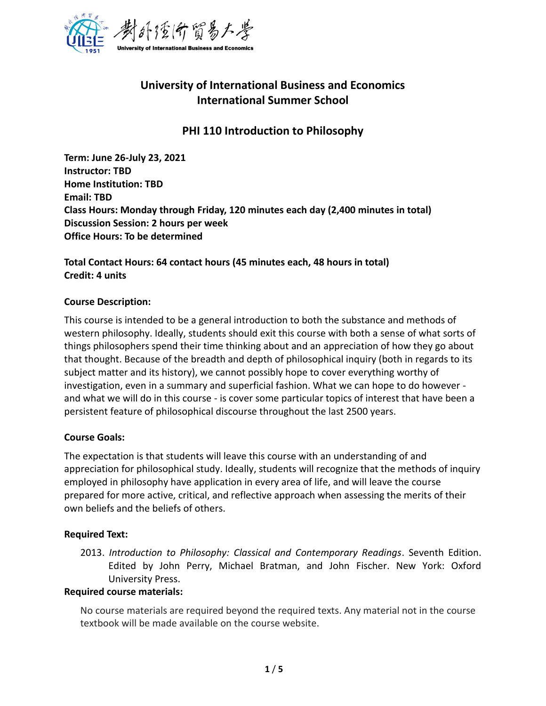

# **University of International Business and Economics International Summer School**

## **PHI 110 Introduction to Philosophy**

**Term: June 26-July 23, 2021 Instructor: TBD Home Institution: TBD Email: TBD Class Hours: Monday through Friday, 120 minutes each day (2,400 minutes in total) Discussion Session: 2 hours per week Office Hours: To be determined**

**Total Contact Hours: 64 contact hours (45 minutes each, 48 hours in total) Credit: 4 units**

#### **Course Description:**

This course is intended to be a general introduction to both the substance and methods of western philosophy. Ideally, students should exit this course with both a sense of what sorts of things philosophers spend their time thinking about and an appreciation of how they go about that thought. Because of the breadth and depth of philosophical inquiry (both in regards to its subject matter and its history), we cannot possibly hope to cover everything worthy of investigation, even in a summary and superficial fashion. What we can hope to do however and what we will do in this course - is cover some particular topics of interest that have been a persistent feature of philosophical discourse throughout the last 2500 years.

#### **Course Goals:**

The expectation is that students will leave this course with an understanding of and appreciation for philosophical study. Ideally, students will recognize that the methods of inquiry employed in philosophy have application in every area of life, and will leave the course prepared for more active, critical, and reflective approach when assessing the merits of their own beliefs and the beliefs of others.

#### **Required Text:**

2013. *Introduction to Philosophy: Classical and Contemporary Readings*. Seventh Edition. Edited by John Perry, Michael Bratman, and John Fischer. New York: Oxford University Press.

#### **Required course materials:**

No course materials are required beyond the required texts. Any material not in the course textbook will be made available on the course website.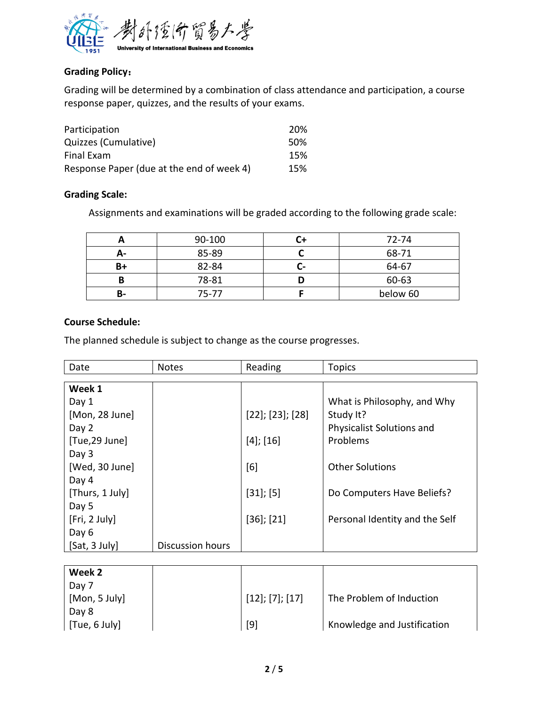

### **Grading Policy**:

Grading will be determined by a combination of class attendance and participation, a course response paper, quizzes, and the results of your exams.

| Participation                             | 20% |
|-------------------------------------------|-----|
| Quizzes (Cumulative)                      | 50% |
| Final Exam                                | 15% |
| Response Paper (due at the end of week 4) | 15% |

#### **Grading Scale:**

Assignments and examinations will be graded according to the following grade scale:

|    | 90-100 |                | 72-74    |
|----|--------|----------------|----------|
| А- | 85-89  |                | 68-71    |
| B+ | 82-84  | $\overline{a}$ | 64-67    |
|    | 78-81  |                | 60-63    |
| В- | 75-77  |                | below 60 |

#### **Course Schedule:**

The planned schedule is subject to change as the course progresses.

| Date            | <b>Notes</b>            | Reading                  | <b>Topics</b>                  |
|-----------------|-------------------------|--------------------------|--------------------------------|
|                 |                         |                          |                                |
| Week 1          |                         |                          |                                |
| Day 1           |                         |                          | What is Philosophy, and Why    |
| [Mon, 28 June]  |                         | $[22]$ ; $[23]$ ; $[28]$ | Study It?                      |
| Day 2           |                         |                          | Physicalist Solutions and      |
| [Tue,29 June]   |                         | $[4]$ ; [16]             | Problems                       |
| Day 3           |                         |                          |                                |
| [Wed, 30 June]  |                         | [6]                      | <b>Other Solutions</b>         |
| Day 4           |                         |                          |                                |
| [Thurs, 1 July] |                         | $[31]$ ; [5]             | Do Computers Have Beliefs?     |
| Day 5           |                         |                          |                                |
| [Fri, 2 July]   |                         | $[36]$ ; $[21]$          | Personal Identity and the Self |
| Day 6           |                         |                          |                                |
| [Sat, 3 July]   | <b>Discussion hours</b> |                          |                                |

| Week 2        |                         |                             |
|---------------|-------------------------|-----------------------------|
| Day 7         |                         |                             |
| [Mon, 5 July] | $[12]$ ; $[7]$ ; $[17]$ | The Problem of Induction    |
| Day 8         |                         |                             |
| [Tue, 6 July] | [9]                     | Knowledge and Justification |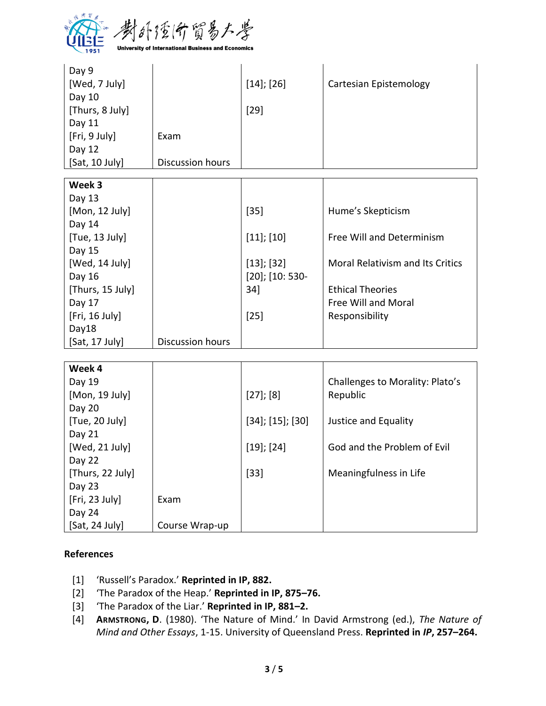

| Day 9            |                  |                     |                                         |
|------------------|------------------|---------------------|-----------------------------------------|
| [Wed, 7 July]    |                  | $[14]$ ; [26]       | Cartesian Epistemology                  |
| Day 10           |                  |                     |                                         |
| [Thurs, 8 July]  |                  | $[29]$              |                                         |
| Day 11           |                  |                     |                                         |
| [Fri, 9 July]    | Exam             |                     |                                         |
| Day 12           |                  |                     |                                         |
| [Sat, 10 July]   | Discussion hours |                     |                                         |
| Week 3           |                  |                     |                                         |
|                  |                  |                     |                                         |
| Day 13           |                  |                     |                                         |
| [Mon, 12 July]   |                  | $[35]$              | Hume's Skepticism                       |
| Day 14           |                  |                     |                                         |
| [Tue, 13 July]   |                  | $[11]$ ; $[10]$     | Free Will and Determinism               |
| Day 15           |                  |                     |                                         |
| [Wed, 14 July]   |                  | $[13]$ ; [32]       | <b>Moral Relativism and Its Critics</b> |
| Day 16           |                  | $[20]$ ; $[10:530-$ |                                         |
| [Thurs, 15 July] |                  | 34]                 | <b>Ethical Theories</b>                 |
| Day 17           |                  |                     | Free Will and Moral                     |
| [Fri, 16 July]   |                  | $[25]$              | Responsibility                          |
| Day18            |                  |                     |                                         |
| [Sat, 17 July]   | Discussion hours |                     |                                         |

| Week 4           |                |                     |                                 |
|------------------|----------------|---------------------|---------------------------------|
| Day 19           |                |                     | Challenges to Morality: Plato's |
| [Mon, 19 July]   |                | $[27]$ ; $[8]$      | Republic                        |
| Day 20           |                |                     |                                 |
| [Tue, 20 July]   |                | $[34]$ ; [15]; [30] | Justice and Equality            |
| Day 21           |                |                     |                                 |
| [Wed, 21 July]   |                | $[19]$ ; $[24]$     | God and the Problem of Evil     |
| Day 22           |                |                     |                                 |
| [Thurs, 22 July] |                | $[33]$              | Meaningfulness in Life          |
| Day 23           |                |                     |                                 |
| [Fri, 23 July]   | Exam           |                     |                                 |
| Day 24           |                |                     |                                 |
| [Sat, 24 July]   | Course Wrap-up |                     |                                 |

#### **References**

- [1] 'Russell's Paradox.' **Reprinted in IP, 882.**
- [2] 'The Paradox of the Heap.' **Reprinted in IP, 875–76.**
- [3] 'The Paradox of the Liar.' **Reprinted in IP, 881–2.**
- [4] **ARMSTRONG, D**. (1980). 'The Nature of Mind.' In David Armstrong (ed.), *The Nature of Mind and Other Essays*, 1-15. University of Queensland Press. **Reprinted in** *IP***, 257–264.**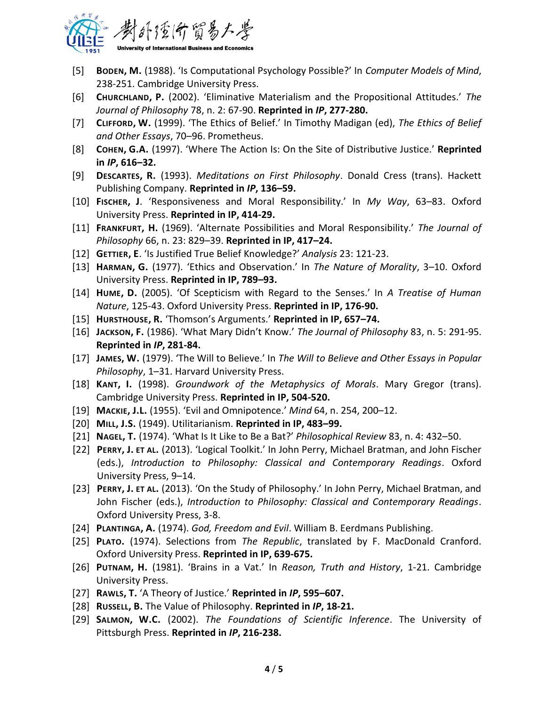

- [5] **BODEN, M.** (1988). 'Is Computational Psychology Possible?' In *Computer Models of Mind*, 238-251. Cambridge University Press.
- [6] **CHURCHLAND, P.** (2002). 'Eliminative Materialism and the Propositional Attitudes.' *The Journal of Philosophy* 78, n. 2: 67-90. **Reprinted in** *IP***, 277-280.**
- [7] **CLIFFORD, W.** (1999). 'The Ethics of Belief.' In Timothy Madigan (ed), *The Ethics of Belief and Other Essays*, 70–96. Prometheus.
- [8] **COHEN, G.A.** (1997). 'Where The Action Is: On the Site of Distributive Justice.' **Reprinted in** *IP***, 616–32.**
- [9] **DESCARTES, R.** (1993). *Meditations on First Philosophy*. Donald Cress (trans). Hackett Publishing Company. **Reprinted in** *IP***, 136–59.**
- [10] **FISCHER, J**. 'Responsiveness and Moral Responsibility.' In *My Way*, 63–83. Oxford University Press. **Reprinted in IP, 414-29.**
- [11] **FRANKFURT, H.** (1969). 'Alternate Possibilities and Moral Responsibility.' *The Journal of Philosophy* 66, n. 23: 829–39. **Reprinted in IP, 417–24.**
- [12] **GETTIER, E**. 'Is Justified True Belief Knowledge?' *Analysis* 23: 121-23.
- [13] **HARMAN, G.** (1977). 'Ethics and Observation.' In *The Nature of Morality*, 3–10. Oxford University Press. **Reprinted in IP, 789–93.**
- [14] **HUME, D.** (2005). 'Of Scepticism with Regard to the Senses.' In *A Treatise of Human Nature*, 125-43. Oxford University Press. **Reprinted in IP, 176-90.**
- [15] **HURSTHOUSE, R.** 'Thomson's Arguments.' **Reprinted in IP, 657–74.**
- [16] **JACKSON, F.** (1986). 'What Mary Didn't Know.' *The Journal of Philosophy* 83, n. 5: 291-95. **Reprinted in** *IP***, 281-84.**
- [17] **JAMES, W.** (1979). 'The Will to Believe.' In *The Will to Believe and Other Essays in Popular Philosophy*, 1–31. Harvard University Press.
- [18] **KANT, I.** (1998). *Groundwork of the Metaphysics of Morals*. Mary Gregor (trans). Cambridge University Press. **Reprinted in IP, 504-520.**
- [19] **MACKIE, J.L.** (1955). 'Evil and Omnipotence.' *Mind* 64, n. 254, 200–12.
- [20] **MILL, J.S.** (1949). Utilitarianism. **Reprinted in IP, 483–99.**
- [21] **NAGEL, T.** (1974). 'What Is It Like to Be a Bat?' *Philosophical Review* 83, n. 4: 432–50.
- [22] **PERRY, J. ET AL.** (2013). 'Logical Toolkit.' In John Perry, Michael Bratman, and John Fischer (eds.), *Introduction to Philosophy: Classical and Contemporary Readings*. Oxford University Press, 9–14.
- [23] **PERRY, J. ET AL.** (2013). 'On the Study of Philosophy.' In John Perry, Michael Bratman, and John Fischer (eds.), *Introduction to Philosophy: Classical and Contemporary Readings*. Oxford University Press, 3-8.
- [24] **PLANTINGA, A.** (1974). *God, Freedom and Evil*. William B. Eerdmans Publishing.
- [25] **PLATO.** (1974). Selections from *The Republic*, translated by F. MacDonald Cranford. Oxford University Press. **Reprinted in IP, 639-675.**
- [26] **PUTNAM, H.** (1981). 'Brains in a Vat.' In *Reason, Truth and History*, 1-21. Cambridge University Press.
- [27] **RAWLS, T.** 'A Theory of Justice.' **Reprinted in** *IP***, 595–607.**
- [28] **RUSSELL, B.** The Value of Philosophy. **Reprinted in** *IP***, 18-21.**
- [29] **SALMON, W.C.** (2002). *The Foundations of Scientific Inference*. The University of Pittsburgh Press. **Reprinted in** *IP***, 216-238.**